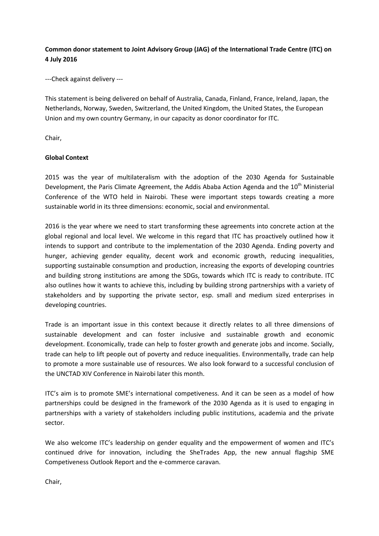# **Common donor statement to Joint Advisory Group (JAG) of the International Trade Centre (ITC) on 4 July 2016**

---Check against delivery ---

This statement is being delivered on behalf of Australia, Canada, Finland, France, Ireland, Japan, the Netherlands, Norway, Sweden, Switzerland, the United Kingdom, the United States, the European Union and my own country Germany, in our capacity as donor coordinator for ITC.

Chair,

### **Global Context**

2015 was the year of multilateralism with the adoption of the 2030 Agenda for Sustainable Development, the Paris Climate Agreement, the Addis Ababa Action Agenda and the 10<sup>th</sup> Ministerial Conference of the WTO held in Nairobi. These were important steps towards creating a more sustainable world in its three dimensions: economic, social and environmental.

2016 is the year where we need to start transforming these agreements into concrete action at the global regional and local level. We welcome in this regard that ITC has proactively outlined how it intends to support and contribute to the implementation of the 2030 Agenda. Ending poverty and hunger, achieving gender equality, decent work and economic growth, reducing inequalities, supporting sustainable consumption and production, increasing the exports of developing countries and building strong institutions are among the SDGs, towards which ITC is ready to contribute. ITC also outlines how it wants to achieve this, including by building strong partnerships with a variety of stakeholders and by supporting the private sector, esp. small and medium sized enterprises in developing countries.

Trade is an important issue in this context because it directly relates to all three dimensions of sustainable development and can foster inclusive and sustainable growth and economic development. Economically, trade can help to foster growth and generate jobs and income. Socially, trade can help to lift people out of poverty and reduce inequalities. Environmentally, trade can help to promote a more sustainable use of resources. We also look forward to a successful conclusion of the UNCTAD XIV Conference in Nairobi later this month.

ITC's aim is to promote SME's international competiveness. And it can be seen as a model of how partnerships could be designed in the framework of the 2030 Agenda as it is used to engaging in partnerships with a variety of stakeholders including public institutions, academia and the private sector.

We also welcome ITC's leadership on gender equality and the empowerment of women and ITC's continued drive for innovation, including the SheTrades App, the new annual flagship SME Competiveness Outlook Report and the e-commerce caravan.

Chair,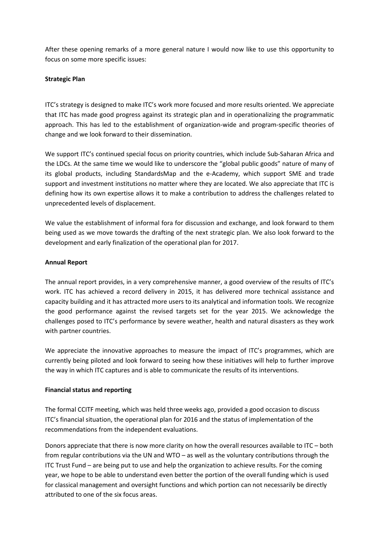After these opening remarks of a more general nature I would now like to use this opportunity to focus on some more specific issues:

## **Strategic Plan**

ITC's strategy is designed to make ITC's work more focused and more results oriented. We appreciate that ITC has made good progress against its strategic plan and in operationalizing the programmatic approach. This has led to the establishment of organization-wide and program-specific theories of change and we look forward to their dissemination.

We support ITC's continued special focus on priority countries, which include Sub-Saharan Africa and the LDCs. At the same time we would like to underscore the "global public goods" nature of many of its global products, including StandardsMap and the e-Academy, which support SME and trade support and investment institutions no matter where they are located. We also appreciate that ITC is defining how its own expertise allows it to make a contribution to address the challenges related to unprecedented levels of displacement.

We value the establishment of informal fora for discussion and exchange, and look forward to them being used as we move towards the drafting of the next strategic plan. We also look forward to the development and early finalization of the operational plan for 2017.

### **Annual Report**

The annual report provides, in a very comprehensive manner, a good overview of the results of ITC's work. ITC has achieved a record delivery in 2015, it has delivered more technical assistance and capacity building and it has attracted more users to its analytical and information tools. We recognize the good performance against the revised targets set for the year 2015. We acknowledge the challenges posed to ITC's performance by severe weather, health and natural disasters as they work with partner countries.

We appreciate the innovative approaches to measure the impact of ITC's programmes, which are currently being piloted and look forward to seeing how these initiatives will help to further improve the way in which ITC captures and is able to communicate the results of its interventions.

#### **Financial status and reporting**

The formal CCITF meeting, which was held three weeks ago, provided a good occasion to discuss ITC's financial situation, the operational plan for 2016 and the status of implementation of the recommendations from the independent evaluations.

Donors appreciate that there is now more clarity on how the overall resources available to ITC – both from regular contributions via the UN and WTO – as well as the voluntary contributions through the ITC Trust Fund – are being put to use and help the organization to achieve results. For the coming year, we hope to be able to understand even better the portion of the overall funding which is used for classical management and oversight functions and which portion can not necessarily be directly attributed to one of the six focus areas.